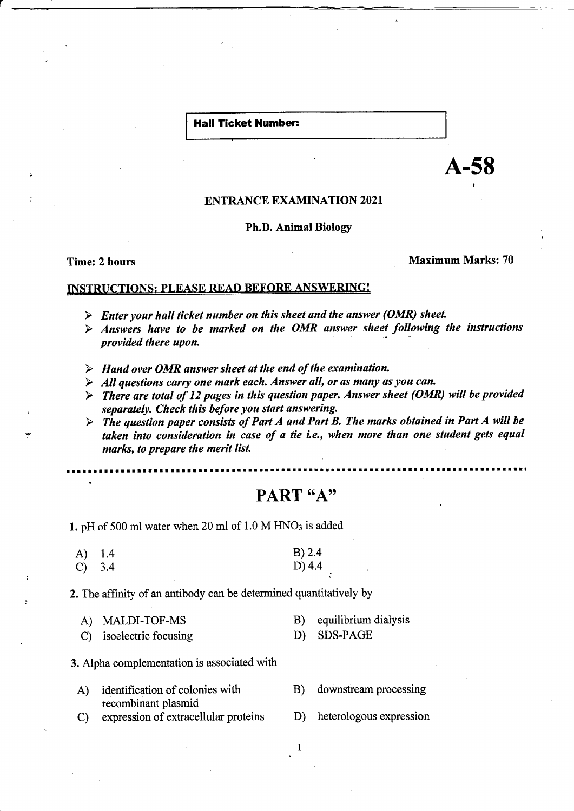#### Hall Ticket Number:

A-58

### ENTRANCE EXAMINATION 2021

#### Ph.D. Animal Biologr

Time: 2 hours Maximum Marks: 70

### INSTRUCTIONS: PLEASE READ BEFORE ANSWERING!

- 
- $\triangleright$  Enter your hall ticket number on this sheet and the answer (OMR) sheet.<br> $\triangleright$  Answers have to be marked on the OMR answer sheet following the instructions provided there upon.
- 
- 
- > Hand over OMR answer sheet at the end of the examination.<br>
→ All questions carry one mark each. Answer all, or as many as you can.<br>
→ There are total of 12 pages in this question paper. Answer sheet (OMR) will be provid separately. Check this before you start answering.<br>  $\triangleright$  The question paper consists of Part A and Part B. The marks obtained in Part A will be
- taken into consideration in case of a tie i.e., when more than one student gets equal marks, to prepare the merit list.

ttlttridlige laterrellturlige laterrarrarrellellaar.<br>Laterrare

# PART "A"

1. pH of 500 ml water when 20 ml of  $1.0 M HNO<sub>3</sub>$  is added

| A) 1.4 |  | B) 2.4 |
|--------|--|--------|
| C) 3.4 |  | D) 4.4 |

2. The affinity of an antibody can be determined quantitatively by

| A) MALDI-TOF-MS         | B) equilibrium dialysis |
|-------------------------|-------------------------|
| C) isoelectric focusing | D) SDS-PAGE             |

#### 3. Alpha oomplementation is associated with

- A) identification of colonies with B) downstream processing recombinant plasmid
- C) expression of extracellular proteins D) heterologous expression
- -

 $\mathbf{1}$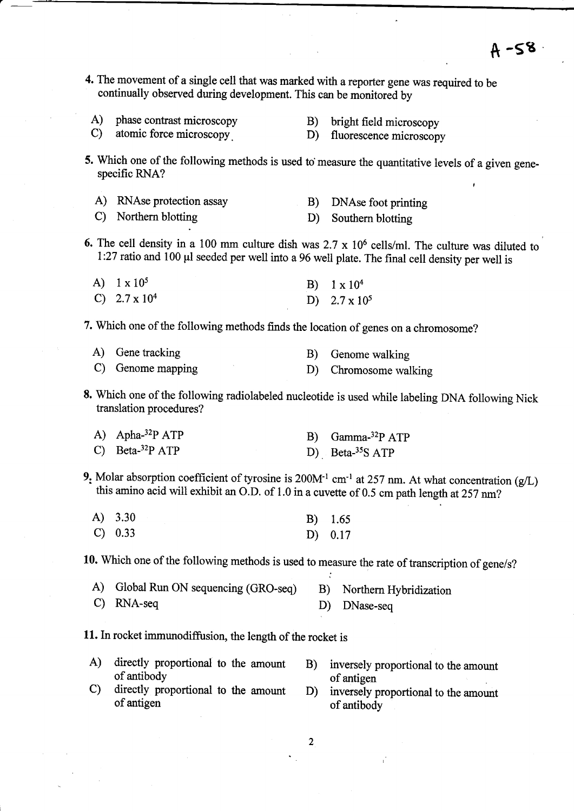4. The movement of a single cell that was marked with a reporter gene was required to be continually observed during development. This can be monitored by

|        | A) phase contrast microscopy | B) bright field microscopy |
|--------|------------------------------|----------------------------|
| $\sim$ |                              |                            |

C) atomic force microscopy B) fluorescence microscopy

5. Which one of the following methods is used to measure the quantitative levels of a given genespecific RNA?

| A) RNAse protection assay                                                                                                                                                                                                                                                                                          |  |  | B) DNAse foot printing |  |
|--------------------------------------------------------------------------------------------------------------------------------------------------------------------------------------------------------------------------------------------------------------------------------------------------------------------|--|--|------------------------|--|
| $\sqrt{N}$ $\sqrt{N}$ $\sqrt{N}$ $\sqrt{N}$ $\sqrt{N}$ $\sqrt{N}$ $\sqrt{N}$ $\sqrt{N}$ $\sqrt{N}$ $\sqrt{N}$ $\sqrt{N}$ $\sqrt{N}$ $\sqrt{N}$ $\sqrt{N}$ $\sqrt{N}$ $\sqrt{N}$ $\sqrt{N}$ $\sqrt{N}$ $\sqrt{N}$ $\sqrt{N}$ $\sqrt{N}$ $\sqrt{N}$ $\sqrt{N}$ $\sqrt{N}$ $\sqrt{N}$ $\sqrt{N}$ $\sqrt{N}$ $\sqrt{N$ |  |  |                        |  |

C) Northern blotting D) Southern blotting

6. The cell density in a 100 mm culture dish was  $2.7 \times 10^6$  cells/ml. The culture was diluted to l:27 ratio and 100 pl seeded per well into a 96 well plate. The final cell density per well is

| A) $1 \times 10^5$   | B) $1 \times 10^4$   |
|----------------------|----------------------|
| C) $2.7 \times 10^4$ | D) $2.7 \times 10^5$ |

7. Which one of the following methods finds the location of genes on a chromosome?

| A) Gene tracking  | B) Genome walking     |
|-------------------|-----------------------|
| C) Genome mapping | D) Chromosome walking |

8. Which one of the following radiolabeled nucleotide is used while labeling DNA following Nick translation procedures?

| A) Apha- $32P$ ATP | B) Gamma <sup>-32</sup> P ATP |
|--------------------|-------------------------------|
| C) Beta- $32P$ ATP | D) Beta- $35S$ ATP            |

9. Molar absorption coefficient of tyrosine is  $200M<sup>-1</sup>$  cm<sup>-1</sup> at 257 nm. At what concentration (g/L) this amino acid will exhibit an O.D. of 1.0 in a cuvette of 0.5 cm path length at 257 nm?

| $(A)$ 3.30 | $B)$ 1.65 |
|------------|-----------|
| C) 0.33    | $D)$ 0.17 |

10. Which one of the following methods is used to measure the rate of transcription of gene/s?

| A) Global Run ON sequencing (GRO-seq) | B) Northern Hybridization |
|---------------------------------------|---------------------------|
| $C)$ RNA-seq                          | D) DNase-seq              |

11. In rocket immunodiffusion, the length of the rocket is

- A) directly proportional to the amount B) inversely proportional to the amount of antibody of antioen of antibody<br>of antibody<br>c) directly proportional to the amount D) inversely proportional to the amount
- of antigen  $\frac{1}{2}$  of antibody of antibody
-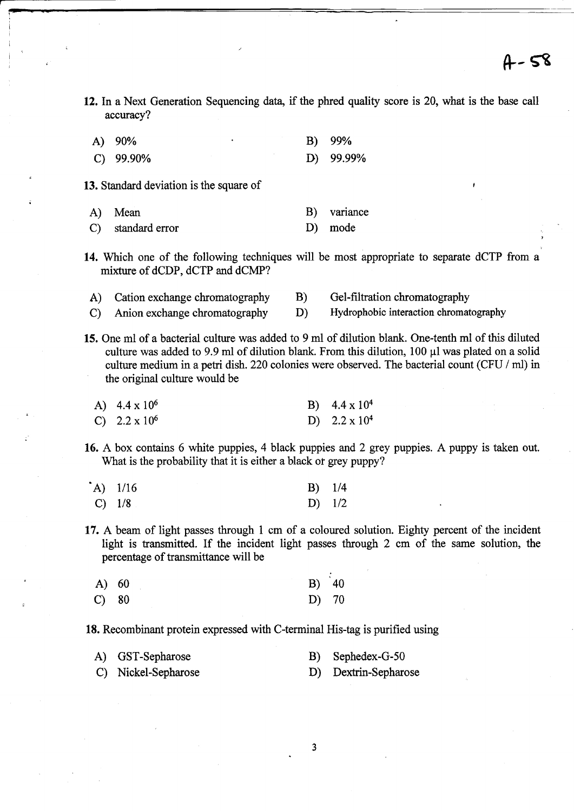- 12. In a Next Generation Sequencing data, if the phred quality score is 20, what is the base call accuracy?
	- A) 90% B) 99% A) 90% B) 99%<br>C) 99.90% D) 99.99%
- 13. Standard deviation is the square of

! .<br>. I

a

:

- A) Mean B) variance
- C) standaxd error D) mode
- 14. Which one of the following techniques will be most appropriate to separate dCTP from a mixture of dCDP, dCTP and dCMP?
	- A) Cation exchange chromatography B) Gel-filtration chromatography
- C) Anion exchange chromatography D) Hydrophobic interaction chromatography
- 15. One ml of a bacterial culture was added to 9 ml of dilution blank. One-tenth ml of this diluted culture was added to 9.9 ml of dilution blank. From this dilution,  $100 \mu l$  was plated on a solid culture medium in a petri dish. 220 colonies were observed. The bacterial count (CFU / ml) in the original culture would be
- A)  $4.4 \times 10^6$  B)  $4.4 \times 10^4$ <br>C)  $2.2 \times 10^6$  D)  $2.2 \times 10^4$ 
	- 16. A box contains 6 white puppies, 4 black puppies and 2 grey puppies. A puppy is taken out. What is the probability that it is either a black or grey puppy?

| $(A)$ 1/16 |  | $B)$ 1/4 |
|------------|--|----------|
| $C)$ 1/8   |  | D) $1/2$ |

17. A beam of light passes through I cm of a coloured solution. Eighty percent of the incident light is transmitted. If the incident light passes through 2 cm of the same solution, the percentage of transmittance will be

| $A)$ 60         | $B)$ 40 |  |
|-----------------|---------|--|
| $\mathbf{C}$ 80 | D) 70   |  |

18. Recombinant protein expressed with C-terminal His-tag is purified using

| A) GST-Sepharose    | B) Sephedex-G-50     |
|---------------------|----------------------|
| C) Nickel-Sepharose | D) Dextrin-Sepharose |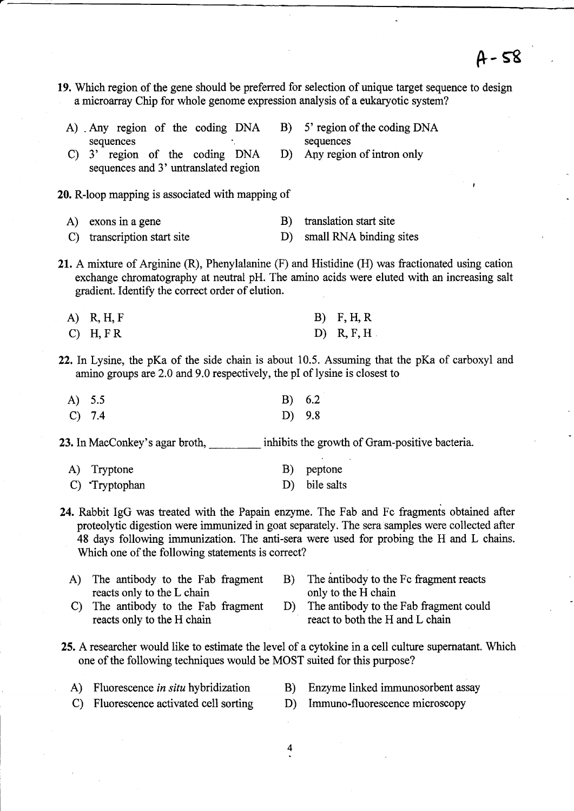19. Which region of the gene should be preferred for selection of unique target sequence to design a microarray Chip for whole genome expression analysis of a eukaryotic system?

|               | A) Any region of the coding DNA<br>sequences                                 | B) | 5' region of the coding DNA<br>sequences                                                                                                                                                                                             |
|---------------|------------------------------------------------------------------------------|----|--------------------------------------------------------------------------------------------------------------------------------------------------------------------------------------------------------------------------------------|
| $\mathbf{C}$  | 3' region of the coding DNA<br>sequences and 3' untranslated region          |    | D) Any region of intron only                                                                                                                                                                                                         |
|               | 20. R-loop mapping is associated with mapping of                             |    |                                                                                                                                                                                                                                      |
| A)            | exons in a gene                                                              | B) | translation start site                                                                                                                                                                                                               |
| $\mathcal{C}$ | transcription start site                                                     |    | D) small RNA binding sites                                                                                                                                                                                                           |
|               | gradient. Identify the correct order of elution.<br>A) R, H, F<br>$C)$ H, FR |    | 21. A mixture of Arginine $(R)$ , Phenylalanine $(F)$ and Histidine $(H)$ was fractionated using cation<br>exchange chromatography at neutral pH. The amino acids were eluted with an increasing salt<br>$B)$ F, H, R<br>D) R, F, H. |
|               | amino groups are 2.0 and 9.0 respectively, the pI of lysine is closest to    |    | 22. In Lysine, the pKa of the side chain is about 10.5. Assuming that the pKa of carboxyl and                                                                                                                                        |
| $(A)$ 5.5     |                                                                              | B) | 6.2                                                                                                                                                                                                                                  |
|               | $C)$ 7.4                                                                     | D) | 9.8                                                                                                                                                                                                                                  |
|               | 23. In MacConkey's agar broth,                                               |    | inhibits the growth of Gram-positive bacteria.                                                                                                                                                                                       |

| A) Tryptone   | B) peptone    |
|---------------|---------------|
| C) Tryptophan | D) bile salts |

- 24. Rabbit IgG was treated with the Papain enzyme. The Fab and Fc fragments obtained after proteolytic digestion were immunized in goat separately. The sera samples were collected after 48 days following immunization. The anti-sera were used for probing the H and L chains. Which one of the following statements is correct?
	- A) The antibody to the Fab fragment B) The antibody to the Fc fragment reacts reacts only to the H chain reacts only to the L chain<br>The antibody to the Fab fragment D) The antibody to the Fab fragment could
- - C) The antibody to the Fab fragment D) reacts only to the H chain
- react to both the H and L chain
- 25. A researcher would like to estimate the level of a cytokine in a cell culture supernatant. Which one of the following techniques would be MOST suited for this purpose?
	-
	- A) Fluorescence in situ hybridization B) Enzyme linked immunosorbent assay
	- C) Fluorescence activated cell sorting D) Immuno-fluorescence microscopy
- - 4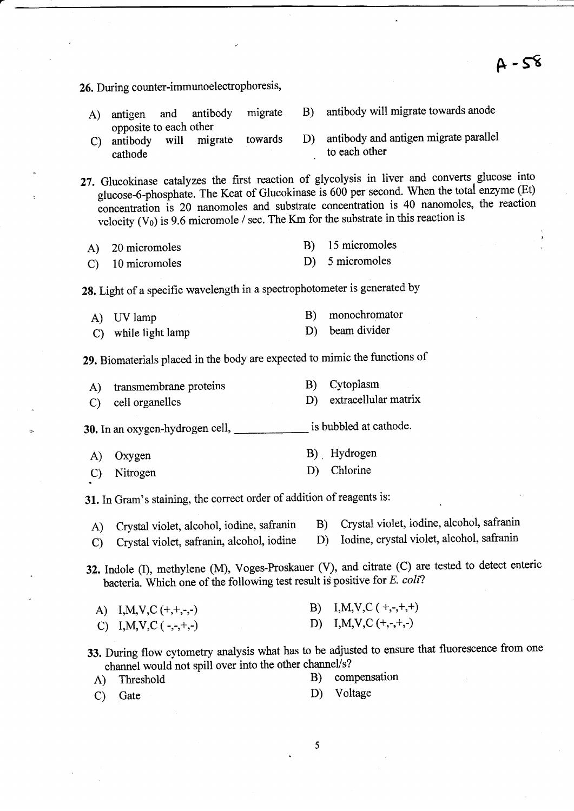$A - 58$ 26. During counter-immunoelectrophoresis, A) antigen and antibody migrate B) antibody will migrate towards anode opposite to each other C) antibody will migrate towards D) antibody and antigen migrate parallel<br>to each other to each other 27. Glucokinase catalyzes the first reaction of glycolysis in liver and converts glucose into glucose-6-phosphate. The Kcat of Glucokinase is 600 per second. When the total enzyme (Et)  $\overline{\text{concentration}}$  is 20 nanomoles and substrate concentration is 40 nanomoles, the reaction velocity  $(V_0)$  is 9.6 micromole / sec. The Km for the substrate in this reaction is 28. Light of a specific wavelength in a spectrophotometer is generated by A) 20 micromoles C) 10 micromoles A) UV lamp C) while light lamp A) Threshold C) Gate B) 15 micromoles D) 5 micromoles B) monochromator D) beam divider B) Cytoplasm D) extracellular matrix is bubbled at cathode. B). Hydrogen D) Chlorine B)  $I, M, V, C$  ( +,-,+,+) D) I,M,V,C  $(+,-,+,-)$ B) compensation D) Voltage 29. Biomaterials placed in the body are expected to mimic the functions of A) transmembrane proteins C) cell organelles 30. In an oxygen-hydrogen cell, A) Oxygen C) Nitrogen 31.In Gram's staining, the correct order of addition of reagents is: A) Crystal violet, alcohol, iodine, safranin B) Crystal violet, iodine, alcohol, safranin C) Crystal violet safranin alcohol, iodine D) Iodine, crystal violet, alcohol, safranin C) Crystal violet, safranin, alcohol, iodine 32. Indole (I), methylene (M), Voges-Proskauer (V), and citrate (C) are tested to detect enteric bacteria. Which one of the following test result is positive for  $E.$  coli? A) I,M,V,C  $(+, +, -, -)$ C) I, M, V, C ( $-,-,+,$ 33. During flow cytometry analysis what has to be adjusted to ensure that fluorescence from one channel would not spill over into the other channel/s?

5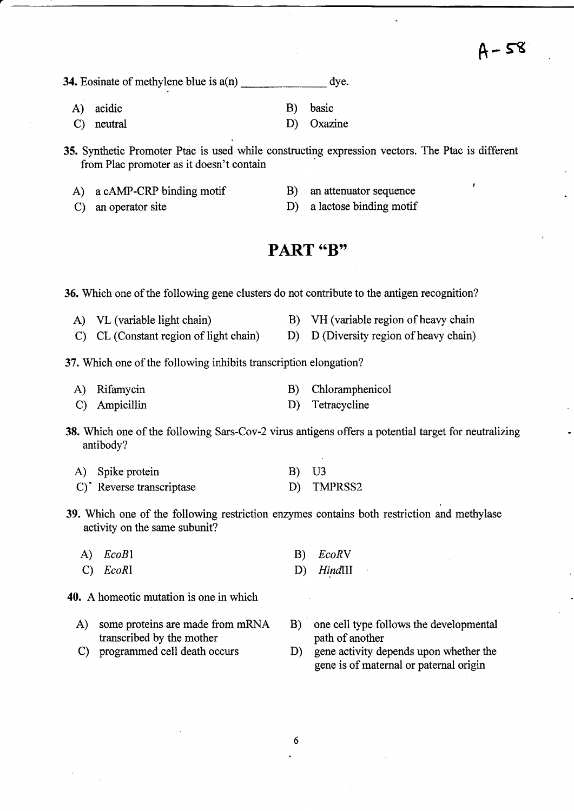**34.** Eosinate of methylene blue is  $a(n)$ dye.

- A) acidic B) basic
- 

C) neutral D) Oxazine

35. Synthetic Promoter Ptac is used while constructing expression vectors. The Ptac is different from Plac promoter as it doesn't contain

- A) a cAMP-CRP binding motif B) an attenuator sequence
- C) an operator site D) a lactose binding motif
- -

## PART "B"

36. Which one of the following gene clusters do not contribute to the antigen recognition?

- A) VL (variable light chain) B) VH (variable region of heavy chain
- C) CL (Constant region of light chain) D) D (Diversity region of heavy chain)

37. Which one of the following inhibits transcription elongation?

- A) Rifamycin B) Chloramphenicol
- C) Ampicillin D) Tetracycline

38. Which one of the following Sars-Cov-2 virus antigens offers a potential target for neutralizing antibody?

| A) Spike protein         | <b>B</b> ) U3 |            |
|--------------------------|---------------|------------|
| C) Reverse transcriptase |               | D) TMPRSS2 |

- 39. Which one of the following restriction enzymes contains both restriction and methylase activity on the same subunit?
	- A) EcoB1 B) EcoRV
	- C) EcoRI D) HindIII
- 40. A homeotic mutation is one in which
	- transcribed by the mother<br>C programmed cell death occurs
	-
	- A) some proteins are made from mRNA B) one cell type follows the developmental transcribed by the mother path of another
		- D) gene activity depends upon whether the gene is of maternal or paternal origin
		- 6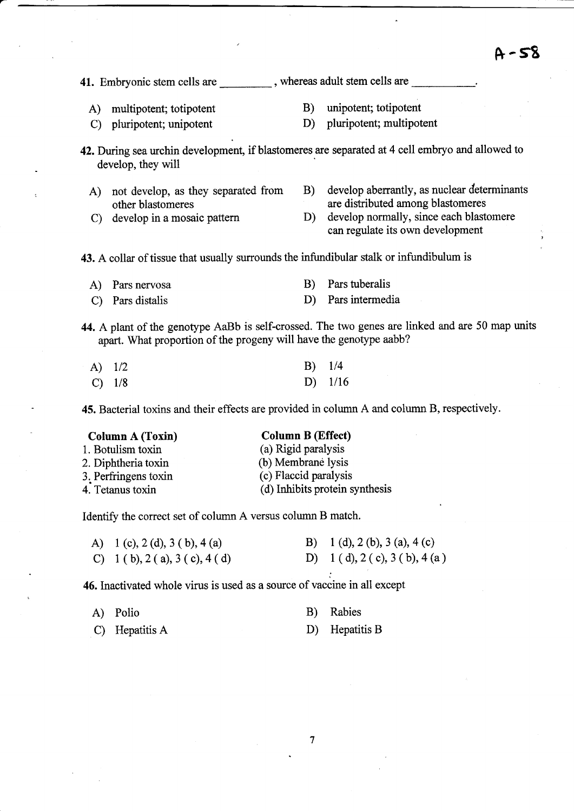# A-58

41. Embryonic stem cells are subsequently, whereas adult stem cells are A) multipotent; totipotent B) unipotent; totipotent C) pluripotent; unipotent D) pluripotent; multipotent 42. During sea urchin development, if blastomeres are separated at 4 cell embryo and allowed to develop, they will A) not develop, as they separated from B) develop aberrantly, as nuclear determinants other blastomeres are distributed among blastomeres other blastomeres are distributed among blastomeres<br>
C develop in a mosaic pattern D develop normally, since each blast develop normally, since each blastomere can regulate its own development 43. A collar of tissue that usually surrounds the infundibular stalk or infundibulum is A) Pars nervosa B) Pars tuberalis C) Pars distalis D) Pars intermedia 44. A plant of the genotype AaBb is self-crossed. The two genes are linked and are 50 map units apart. What proportion of the progeny will have the genotype aabb? A)  $1/2$  B)  $1/4$ c)  $1/8$  D)  $1/16$ 

45. Bacterial toxins and their effects are provided in column A and column B, respectively.

#### Column A (Toxin) Column B (Effect)

|-

| 1. Botulism toxin    | (a) Rigid paralysis            |
|----------------------|--------------------------------|
| 2. Diphtheria toxin  | (b) Membrane lysis             |
| 3. Perfringens toxin | (c) Flaccid paralysis          |
| 4. Tetanus toxin     | (d) Inhibits protein synthesis |
|                      |                                |

Identify the correct set of column A versus column B match.

| A) 1 (c), 2 (d), 3 (b), 4 (a) | B) 1 (d), 2 (b), 3 (a), 4 (c) |
|-------------------------------|-------------------------------|
| C) 1 (b), 2 (a), 3 (c), 4 (d) | D) 1 (d), 2 (c), 3 (b), 4 (a) |

46. Inactivated whole virus is used as a source of vaccine in all except

| A) Polio | B) Rabies |  |
|----------|-----------|--|
|          |           |  |

| C) Hepatitis A | D) Hepatitis B |
|----------------|----------------|
|                |                |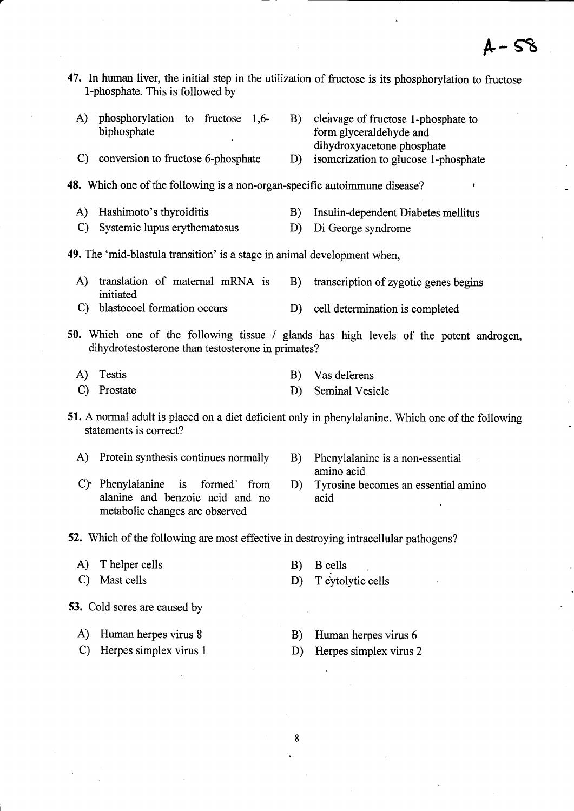47. ln human liver, the initial step in the utilization of fructose is its phosphorylation to fructose l-phosphate. This is followed by

| A)                 | phosphorylation to fructose 1,6-<br>biphosphate                            | B)           | cleavage of fructose 1-phosphate to<br>form glyceraldehyde and<br>dihydroxyacetone phosphate       |
|--------------------|----------------------------------------------------------------------------|--------------|----------------------------------------------------------------------------------------------------|
| $\mathcal{C}$      | conversion to fructose 6-phosphate                                         | D)           | isomerization to glucose 1-phosphate                                                               |
|                    | 48. Which one of the following is a non-organ-specific autoimmune disease? |              |                                                                                                    |
| A)<br>$\mathbf{C}$ | Hashimoto's thyroiditis<br>Systemic lupus erythematosus                    | B)<br>D)     | Insulin-dependent Diabetes mellitus<br>Di George syndrome                                          |
|                    | 49. The 'mid-blastula transition' is a stage in animal development when,   |              |                                                                                                    |
| $\bf{A}$           | translation of maternal mRNA is<br>initiated                               | B)           | transcription of zygotic genes begins                                                              |
| $\mathbf{C}$       | blastocoel formation occurs                                                |              | D) cell determination is completed                                                                 |
|                    | dihydrotestosterone than testosterone in primates?                         |              | 50. Which one of the following tissue / glands has high levels of the potent androgen,             |
| A)                 | <b>Testis</b>                                                              | B)           | Vas deferens                                                                                       |
| $\mathbf{C}$       | Prostate                                                                   | D)           | <b>Seminal Vesicle</b>                                                                             |
|                    | statements is correct?                                                     |              | 51. A normal adult is placed on a diet deficient only in phenylalanine. Which one of the following |
| A)                 | Protein synthesis continues normally                                       |              | B) Phenylalanine is a non-essential<br>amino acid                                                  |
|                    | $C$ ). Dhomylolonino is found fuero                                        | $\mathbf{D}$ | in the second composited in the first                                                              |

- alanine and benzoic acid and no acid metabolic changes are observed
- C) Phenylalanine is formed from D) Tyrosine becomes an essential amino

52. Which of the following are most effective in destroying intracellular pathogens?

- A) Thelper cells B) B cells
- 
- 
- C) Mast cells D) T cytolytic cells
- 53. Cold sores are caused by
	- A) Human herpes virus 8 B) Human herpes virus 6
	- C) Herpes simplex virus 1 D) Herpes simplex virus 2
- -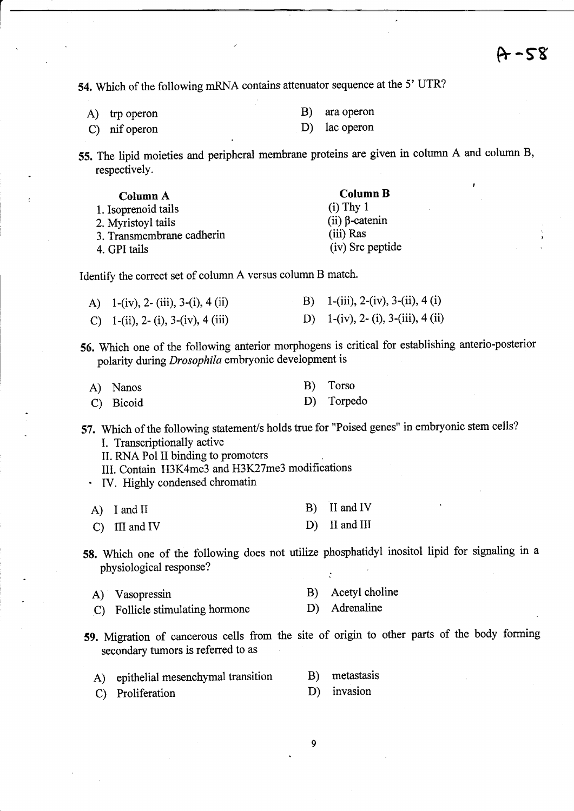54. Which of the following mRNA contains attenuator sequence at the 5' UTR?

A) trp operon B) ara operon

C) nif operon D) lac operon

55. The lipid moieties and peripheral membrane proteins are given in column A and column B, respectively.

| Column A                  | <b>Column B</b>       |
|---------------------------|-----------------------|
| 1. Isoprenoid tails       | $(i)$ Thy 1           |
| 2. Myristovl tails        | (ii) $\beta$ -catenin |
| 3. Transmembrane cadherin | (iii) Ras             |
| 4. GPI tails              | (iv) Src peptide      |

Identify the correct set of column A versus column B match.

| A) $1-(iv)$ , 2- (iii), 3-(i), 4 (ii) | B) 1-(iii), 2-(iv), 3-(ii), 4 (i)  |
|---------------------------------------|------------------------------------|
| C) 1-(ii), 2- (i), 3-(iv), 4 (iii)    | D) 1-(iv), 2- (i), 3-(iii), 4 (ii) |

56. Which one of the following anterior morphogens is critical for establishing anterio-posterior polarity during Drosophila embryonic development is

| A) Nanos  | B) Torso   |
|-----------|------------|
| C) Bicoid | D) Torpedo |

57. Which of the following statement/s holds true for "Poised genes" in embryonic stem cells? I. Transcriptionally active

II. RNA Pol II binding to promoters

- III. Contain H3K4me3 and H3K27me3 modifications
- IV. Highly condensed chromatin

| A) I and II     | $B)$ II and IV  |
|-----------------|-----------------|
| $C)$ III and IV | $D)$ II and III |

58. Which one of the following does not utilize phosphatidyl inositol lipid for signaling in <sup>a</sup> physiological response?

| A) Vasopressin                  | B) Acetyl choline |
|---------------------------------|-------------------|
| C) Follicle stimulating hormone | D) Adrenaline     |

59. Migration of cancerous cells from the site of origin to other parts of the body forming secondary tumors is referred to as

| A) epithelial mesenchymal transition | B) metastasis |
|--------------------------------------|---------------|
|                                      |               |

- C) Proliferation D) invasion
	- 9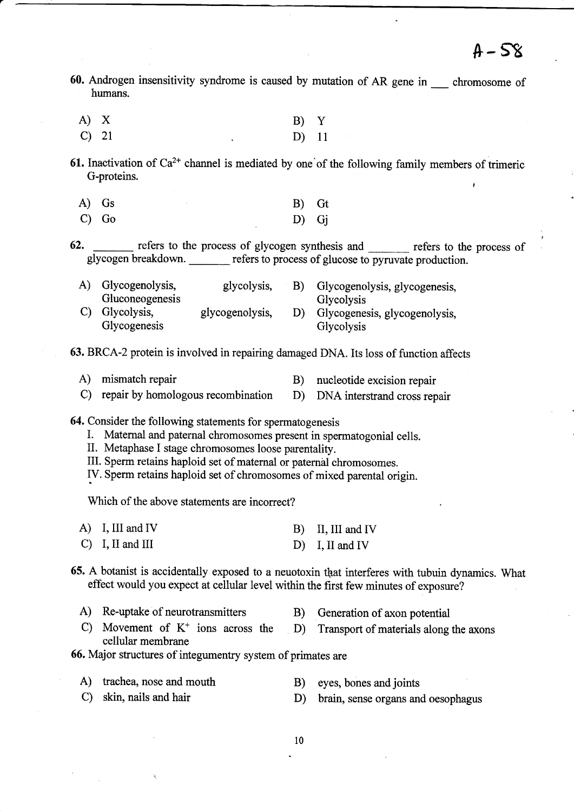- 60. Androgen insensitivity syndrome is caused by mutation of AR gene in \_\_ chromosome of humans.
	- A) X B) Y c) 2t D) 1l
- 61. Inactivation of  $Ca^{2+}$  channel is mediated by one of the following family members of trimeric G-proteins.
	- A) Gs B) Gt  $\begin{array}{ccc} \text{C)} & \text{Go} \\ \text{C)} & \text{Go} \end{array}$  D) Gj
- 62. <u>refers to the process of glycogen synthesis and</u> refers to the process of glycogen breakdown. refers to process of glucose to pyruvate production.

| A) Glycogenolysis,                                | glycolysis,     | B) | Glycogenolysis, glycogenesis,                             |
|---------------------------------------------------|-----------------|----|-----------------------------------------------------------|
| Gluconeogenesis<br>C) Glycolysis,<br>Glycogenesis | glycogenolysis, |    | Glycolysis<br>Glycogenesis, glycogenolysis,<br>Glycolysis |

63. BRCA-2 protein is involved in repairing damaged DNA. Its loss of function affects

- A) mismatch repair B) nucleotide excision repair
- C) repair by homologous recombination D) DNA interstrand cross repair

64. Consider the following statements for spermatogenesis

- I. Maternal and paternal chromosomes present in spermatogonial cells.
- II. Metaphase I stage chromosomes loose parentality.
- III. Sperm retains haploid set of maternal or paternal chromosomes.

IV. Sperm retains haploid set of chromosomes of mixed parental origin.

Which of the above statements are incorrect?

| A) I, III and IV            | B) II, III and IV |
|-----------------------------|-------------------|
| $\mathcal{C}$ I, II and III | $D)$ I, II and IV |

- 65. A botanist is accidentally exposed to a neuotoxin that interferes with tubuin dynamics. What effect would you expect at cellular level within the first few minutes of exposure?
	- A) Re-uptake of neurotransmitters B) Generation of axon potential
	- C) Movement of  $K^+$  ions across the D) Transport of materials along the axons cellular membrane

66. Major structures of integumentry system of primates are

- A) trachea, nose and mouth B) eyes, bones and joints
	-
- c) skin, nails and hair D) brain, sense organs and oesophagus
-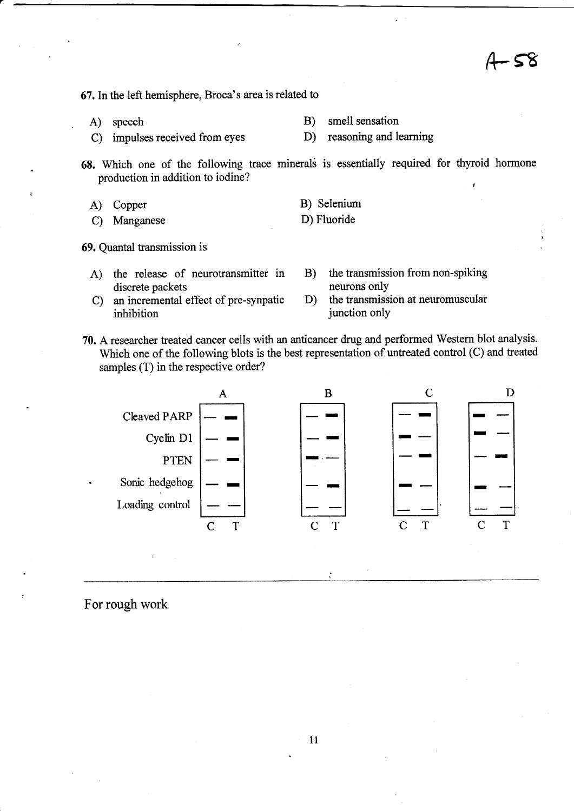- 58

67.lnthe left hemisphere, Broca's area is related to

- 
- C) impulses received from eyes D) reasoning and learning

A) speech B) smell sensation

68. Which one of the following trace minerals is essentially required for thyroid hormone production in addition to iodine?

> B) Selenium D) Fluoride

- A) Copper
- C) Manganese
- 69. Quantal transmission is
	- A) the release of neurotransmitter in discrete packets
	- C) an incremental effect of pre-synpatic inhibition
- B) the transmission from non-spiking neurons only
- D) the transmission at neuromuscular junction only
- 70. A researcher treated cancer cells with an anticancer drug and performed Western blot analysis. Which one of the following blots is the best representation of untreated control (C) and treated samples (T) in the respective order?



For rough work